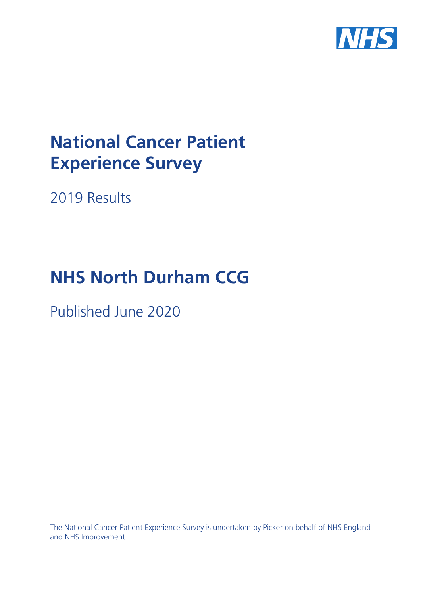

# **National Cancer Patient Experience Survey**

2019 Results

# **NHS North Durham CCG**

Published June 2020

The National Cancer Patient Experience Survey is undertaken by Picker on behalf of NHS England and NHS Improvement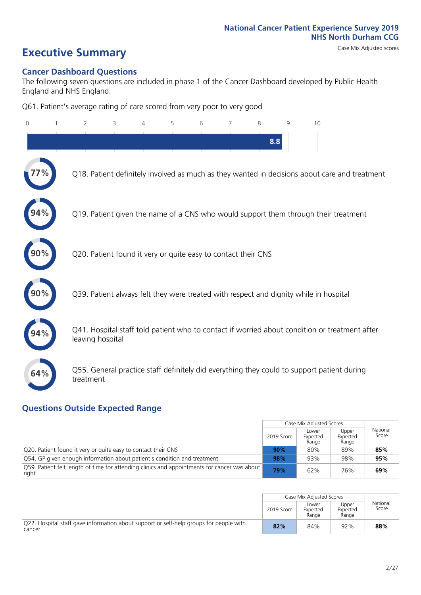# **Executive Summary** Case Mix Adjusted scores

### **Cancer Dashboard Questions**

The following seven questions are included in phase 1 of the Cancer Dashboard developed by Public Health England and NHS England:

Q61. Patient's average rating of care scored from very poor to very good

| $\Omega$ | $\overline{2}$                                                | 3 | 4 | 5 | 6 | 7 | 8   | 9 | 10                                                                                            |
|----------|---------------------------------------------------------------|---|---|---|---|---|-----|---|-----------------------------------------------------------------------------------------------|
|          |                                                               |   |   |   |   |   | 8.8 |   |                                                                                               |
|          |                                                               |   |   |   |   |   |     |   | Q18. Patient definitely involved as much as they wanted in decisions about care and treatment |
|          |                                                               |   |   |   |   |   |     |   | Q19. Patient given the name of a CNS who would support them through their treatment           |
|          | Q20. Patient found it very or quite easy to contact their CNS |   |   |   |   |   |     |   |                                                                                               |
|          |                                                               |   |   |   |   |   |     |   | Q39. Patient always felt they were treated with respect and dignity while in hospital         |
|          | leaving hospital                                              |   |   |   |   |   |     |   | Q41. Hospital staff told patient who to contact if worried about condition or treatment after |
| 64%      | treatment                                                     |   |   |   |   |   |     |   | Q55. General practice staff definitely did everything they could to support patient during    |

### **Questions Outside Expected Range**

|                                                                                                       |            | Case Mix Adjusted Scores   |                            |                   |
|-------------------------------------------------------------------------------------------------------|------------|----------------------------|----------------------------|-------------------|
|                                                                                                       | 2019 Score | Lower<br>Expected<br>Range | Upper<br>Expected<br>Range | National<br>Score |
| Q20. Patient found it very or quite easy to contact their CNS                                         | 90%        | 80%                        | 89%                        | 85%               |
| Q54. GP given enough information about patient's condition and treatment                              | 98%        | 93%                        | 98%                        | 95%               |
| Q59. Patient felt length of time for attending clinics and appointments for cancer was about<br>right | 79%        | 62%                        | 76%                        | 69%               |

|                                                                                                  |            | Case Mix Adjusted Scores   |                            |                   |
|--------------------------------------------------------------------------------------------------|------------|----------------------------|----------------------------|-------------------|
|                                                                                                  | 2019 Score | Lower<br>Expected<br>Range | Upper<br>Expected<br>Range | National<br>Score |
| Q22. Hospital staff gave information about support or self-help groups for people with<br>cancer | 82%        | 84%                        | 92%                        | 88%               |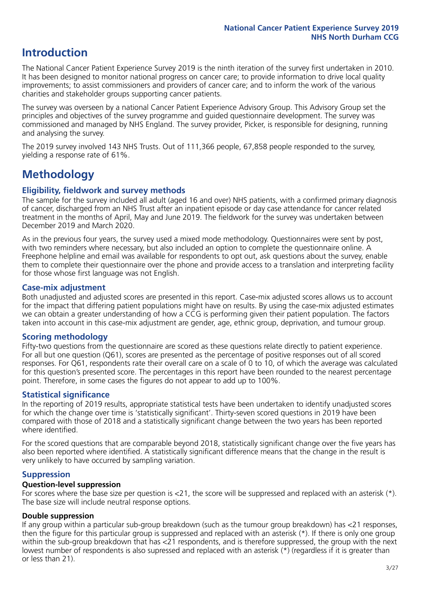# **Introduction**

The National Cancer Patient Experience Survey 2019 is the ninth iteration of the survey first undertaken in 2010. It has been designed to monitor national progress on cancer care; to provide information to drive local quality improvements; to assist commissioners and providers of cancer care; and to inform the work of the various charities and stakeholder groups supporting cancer patients.

The survey was overseen by a national Cancer Patient Experience Advisory Group. This Advisory Group set the principles and objectives of the survey programme and guided questionnaire development. The survey was commissioned and managed by NHS England. The survey provider, Picker, is responsible for designing, running and analysing the survey.

The 2019 survey involved 143 NHS Trusts. Out of 111,366 people, 67,858 people responded to the survey, yielding a response rate of 61%.

# **Methodology**

### **Eligibility, eldwork and survey methods**

The sample for the survey included all adult (aged 16 and over) NHS patients, with a confirmed primary diagnosis of cancer, discharged from an NHS Trust after an inpatient episode or day case attendance for cancer related treatment in the months of April, May and June 2019. The fieldwork for the survey was undertaken between December 2019 and March 2020.

As in the previous four years, the survey used a mixed mode methodology. Questionnaires were sent by post, with two reminders where necessary, but also included an option to complete the questionnaire online. A Freephone helpline and email was available for respondents to opt out, ask questions about the survey, enable them to complete their questionnaire over the phone and provide access to a translation and interpreting facility for those whose first language was not English.

### **Case-mix adjustment**

Both unadjusted and adjusted scores are presented in this report. Case-mix adjusted scores allows us to account for the impact that differing patient populations might have on results. By using the case-mix adjusted estimates we can obtain a greater understanding of how a CCG is performing given their patient population. The factors taken into account in this case-mix adjustment are gender, age, ethnic group, deprivation, and tumour group.

### **Scoring methodology**

Fifty-two questions from the questionnaire are scored as these questions relate directly to patient experience. For all but one question (Q61), scores are presented as the percentage of positive responses out of all scored responses. For Q61, respondents rate their overall care on a scale of 0 to 10, of which the average was calculated for this question's presented score. The percentages in this report have been rounded to the nearest percentage point. Therefore, in some cases the figures do not appear to add up to 100%.

### **Statistical significance**

In the reporting of 2019 results, appropriate statistical tests have been undertaken to identify unadjusted scores for which the change over time is 'statistically significant'. Thirty-seven scored questions in 2019 have been compared with those of 2018 and a statistically significant change between the two years has been reported where identified.

For the scored questions that are comparable beyond 2018, statistically significant change over the five years has also been reported where identified. A statistically significant difference means that the change in the result is very unlikely to have occurred by sampling variation.

### **Suppression**

### **Question-level suppression**

For scores where the base size per question is  $<$ 21, the score will be suppressed and replaced with an asterisk (\*). The base size will include neutral response options.

### **Double suppression**

If any group within a particular sub-group breakdown (such as the tumour group breakdown) has <21 responses, then the figure for this particular group is suppressed and replaced with an asterisk (\*). If there is only one group within the sub-group breakdown that has <21 respondents, and is therefore suppressed, the group with the next lowest number of respondents is also supressed and replaced with an asterisk (\*) (regardless if it is greater than or less than 21).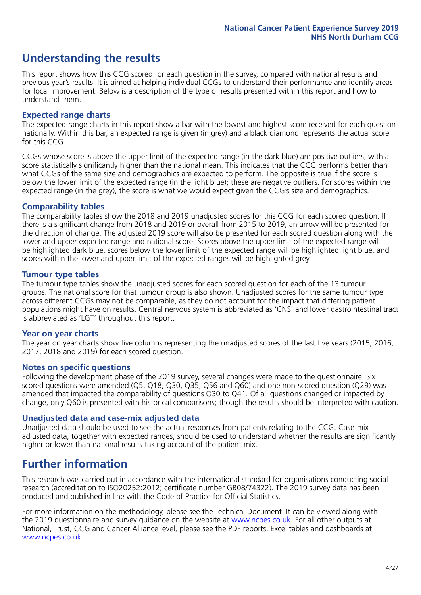# **Understanding the results**

This report shows how this CCG scored for each question in the survey, compared with national results and previous year's results. It is aimed at helping individual CCGs to understand their performance and identify areas for local improvement. Below is a description of the type of results presented within this report and how to understand them.

### **Expected range charts**

The expected range charts in this report show a bar with the lowest and highest score received for each question nationally. Within this bar, an expected range is given (in grey) and a black diamond represents the actual score for this CCG.

CCGs whose score is above the upper limit of the expected range (in the dark blue) are positive outliers, with a score statistically significantly higher than the national mean. This indicates that the CCG performs better than what CCGs of the same size and demographics are expected to perform. The opposite is true if the score is below the lower limit of the expected range (in the light blue); these are negative outliers. For scores within the expected range (in the grey), the score is what we would expect given the CCG's size and demographics.

### **Comparability tables**

The comparability tables show the 2018 and 2019 unadjusted scores for this CCG for each scored question. If there is a significant change from 2018 and 2019 or overall from 2015 to 2019, an arrow will be presented for the direction of change. The adjusted 2019 score will also be presented for each scored question along with the lower and upper expected range and national score. Scores above the upper limit of the expected range will be highlighted dark blue, scores below the lower limit of the expected range will be highlighted light blue, and scores within the lower and upper limit of the expected ranges will be highlighted grey.

### **Tumour type tables**

The tumour type tables show the unadjusted scores for each scored question for each of the 13 tumour groups. The national score for that tumour group is also shown. Unadjusted scores for the same tumour type across different CCGs may not be comparable, as they do not account for the impact that differing patient populations might have on results. Central nervous system is abbreviated as 'CNS' and lower gastrointestinal tract is abbreviated as 'LGT' throughout this report.

### **Year on year charts**

The year on year charts show five columns representing the unadjusted scores of the last five years (2015, 2016, 2017, 2018 and 2019) for each scored question.

### **Notes on specific questions**

Following the development phase of the 2019 survey, several changes were made to the questionnaire. Six scored questions were amended (Q5, Q18, Q30, Q35, Q56 and Q60) and one non-scored question (Q29) was amended that impacted the comparability of questions Q30 to Q41. Of all questions changed or impacted by change, only Q60 is presented with historical comparisons; though the results should be interpreted with caution.

### **Unadjusted data and case-mix adjusted data**

Unadjusted data should be used to see the actual responses from patients relating to the CCG. Case-mix adjusted data, together with expected ranges, should be used to understand whether the results are significantly higher or lower than national results taking account of the patient mix.

# **Further information**

This research was carried out in accordance with the international standard for organisations conducting social research (accreditation to ISO20252:2012; certificate number GB08/74322). The 2019 survey data has been produced and published in line with the Code of Practice for Official Statistics.

For more information on the methodology, please see the Technical Document. It can be viewed along with the 2019 questionnaire and survey quidance on the website at [www.ncpes.co.uk](https://www.ncpes.co.uk/supporting-documents). For all other outputs at National, Trust, CCG and Cancer Alliance level, please see the PDF reports, Excel tables and dashboards at [www.ncpes.co.uk.](https://www.ncpes.co.uk/current-results)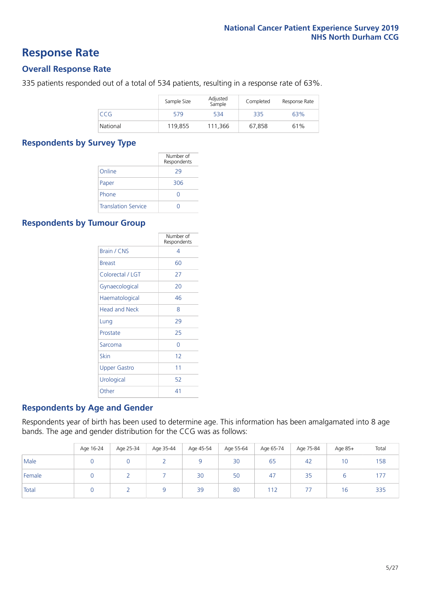### **Response Rate**

### **Overall Response Rate**

335 patients responded out of a total of 534 patients, resulting in a response rate of 63%.

|            | Sample Size | Adjusted<br>Sample | Completed | Response Rate |
|------------|-------------|--------------------|-----------|---------------|
| <b>CCG</b> | 579         | 534                | 335       | 63%           |
| National   | 119.855     | 111.366            | 67.858    | 61%           |

### **Respondents by Survey Type**

|                            | Number of<br>Respondents |
|----------------------------|--------------------------|
| Online                     | 29                       |
| Paper                      | 306                      |
| Phone                      |                          |
| <b>Translation Service</b> |                          |

### **Respondents by Tumour Group**

|                      | Number of<br>Respondents |
|----------------------|--------------------------|
| Brain / CNS          | 4                        |
| <b>Breast</b>        | 60                       |
| Colorectal / LGT     | 27                       |
| Gynaecological       | 20                       |
| Haematological       | 46                       |
| <b>Head and Neck</b> | 8                        |
| Lung                 | 29                       |
| Prostate             | 25                       |
| Sarcoma              | Ω                        |
| Skin                 | 12                       |
| <b>Upper Gastro</b>  | 11                       |
| Urological           | 52                       |
| Other                | 41                       |

### **Respondents by Age and Gender**

Respondents year of birth has been used to determine age. This information has been amalgamated into 8 age bands. The age and gender distribution for the CCG was as follows:

|        | Age 16-24 | Age 25-34 | Age 35-44 | Age 45-54 | Age 55-64 | Age 65-74 | Age 75-84 | Age 85+ | Total |
|--------|-----------|-----------|-----------|-----------|-----------|-----------|-----------|---------|-------|
| Male   |           |           |           |           | 30        | 65        | 42        | 10      | 158   |
| Female |           |           |           | 30        | 50        | 47        | 35        |         | .     |
| Total  |           |           |           | 39        | 80        | 112       |           | 16      | 335   |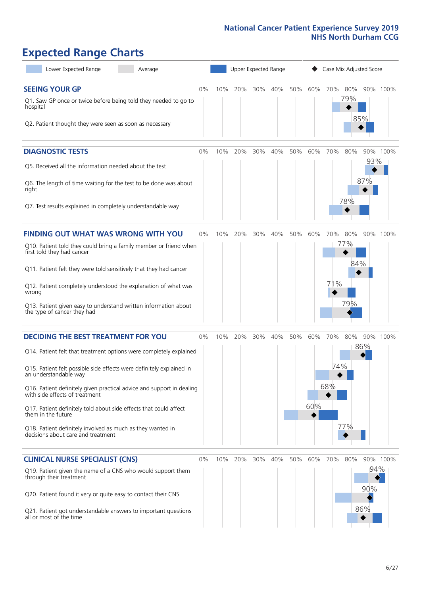# **Expected Range Charts**

| Lower Expected Range<br>Average                                                                                                                                                                                                                                                                                                                                                                                                                                                                                             |    |     | Upper Expected Range |     |     |     |            | Case Mix Adjusted Score |                          |                   |          |
|-----------------------------------------------------------------------------------------------------------------------------------------------------------------------------------------------------------------------------------------------------------------------------------------------------------------------------------------------------------------------------------------------------------------------------------------------------------------------------------------------------------------------------|----|-----|----------------------|-----|-----|-----|------------|-------------------------|--------------------------|-------------------|----------|
| <b>SEEING YOUR GP</b><br>Q1. Saw GP once or twice before being told they needed to go to<br>hospital<br>Q2. Patient thought they were seen as soon as necessary                                                                                                                                                                                                                                                                                                                                                             | 0% | 10% | 20%                  | 30% | 40% | 50% | 60%        | 70%                     | 80%<br>79%               | 85%               | 90% 100% |
| <b>DIAGNOSTIC TESTS</b><br>Q5. Received all the information needed about the test<br>Q6. The length of time waiting for the test to be done was about<br>right<br>Q7. Test results explained in completely understandable way                                                                                                                                                                                                                                                                                               | 0% | 10% | 20%                  | 30% | 40% | 50% | 60%        | 70%                     | 80%<br>78%               | 93%<br>87%        | 90% 100% |
| <b>FINDING OUT WHAT WAS WRONG WITH YOU</b><br>Q10. Patient told they could bring a family member or friend when<br>first told they had cancer<br>Q11. Patient felt they were told sensitively that they had cancer<br>Q12. Patient completely understood the explanation of what was<br>wrong<br>Q13. Patient given easy to understand written information about<br>the type of cancer they had                                                                                                                             | 0% | 10% | 20%                  | 30% | 40% | 50% | 60%        | 70%<br>71%              | 80%<br>77%<br>84%<br>79% |                   | 90% 100% |
| <b>DECIDING THE BEST TREATMENT FOR YOU</b><br>Q14. Patient felt that treatment options were completely explained<br>Q15. Patient felt possible side effects were definitely explained in<br>an understandable way<br>Q16. Patient definitely given practical advice and support in dealing<br>with side effects of treatment<br>Q17. Patient definitely told about side effects that could affect<br>them in the future<br>Q18. Patient definitely involved as much as they wanted in<br>decisions about care and treatment | 0% | 10% | 20%                  | 30% | 40% | 50% | 60%<br>60% | 70%<br>74%<br>68%       | 80%<br>77%               | 86%               | 90% 100% |
| <b>CLINICAL NURSE SPECIALIST (CNS)</b><br>Q19. Patient given the name of a CNS who would support them<br>through their treatment<br>Q20. Patient found it very or quite easy to contact their CNS<br>Q21. Patient got understandable answers to important questions<br>all or most of the time                                                                                                                                                                                                                              | 0% |     | 10% 20%              | 30% | 40% | 50% | 60%        | 70%                     | 80%                      | 94%<br>90%<br>86% | 90% 100% |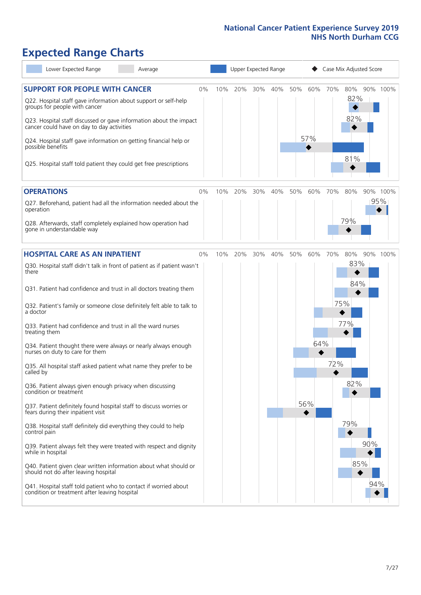# **Expected Range Charts**

| Lower Expected Range<br>Average                                                                                                                                                                                                                                                                                                                                                                                                                                                                                                                                                                                                                                                                                                                                                                                                                                                                                                                 |    |     |     | Upper Expected Range |     |     |                   |            | Case Mix Adjusted Score                       |                 |  |
|-------------------------------------------------------------------------------------------------------------------------------------------------------------------------------------------------------------------------------------------------------------------------------------------------------------------------------------------------------------------------------------------------------------------------------------------------------------------------------------------------------------------------------------------------------------------------------------------------------------------------------------------------------------------------------------------------------------------------------------------------------------------------------------------------------------------------------------------------------------------------------------------------------------------------------------------------|----|-----|-----|----------------------|-----|-----|-------------------|------------|-----------------------------------------------|-----------------|--|
| <b>SUPPORT FOR PEOPLE WITH CANCER</b><br>Q22. Hospital staff gave information about support or self-help<br>groups for people with cancer<br>Q23. Hospital staff discussed or gave information about the impact<br>cancer could have on day to day activities<br>Q24. Hospital staff gave information on getting financial help or<br>possible benefits<br>Q25. Hospital staff told patient they could get free prescriptions                                                                                                                                                                                                                                                                                                                                                                                                                                                                                                                   | 0% | 10% | 20% | 30%                  | 40% | 50% | 60%<br>57%        | 70%        | 80%<br>82%<br>82%<br>81%                      | 90% 100%        |  |
| <b>OPERATIONS</b><br>Q27. Beforehand, patient had all the information needed about the<br>operation<br>Q28. Afterwards, staff completely explained how operation had<br>gone in understandable way                                                                                                                                                                                                                                                                                                                                                                                                                                                                                                                                                                                                                                                                                                                                              | 0% | 10% | 20% | 30%                  | 40% | 50% | 60%               | 70%        | 80%<br>79%                                    | 90% 100%<br>95% |  |
| <b>HOSPITAL CARE AS AN INPATIENT</b><br>Q30. Hospital staff didn't talk in front of patient as if patient wasn't<br>there<br>Q31. Patient had confidence and trust in all doctors treating them<br>Q32. Patient's family or someone close definitely felt able to talk to<br>a doctor<br>Q33. Patient had confidence and trust in all the ward nurses<br>treating them<br>Q34. Patient thought there were always or nearly always enough<br>nurses on duty to care for them<br>Q35. All hospital staff asked patient what name they prefer to be<br>called by<br>Q36. Patient always given enough privacy when discussing<br>condition or treatment<br>Q37. Patient definitely found hospital staff to discuss worries or<br>fears during their inpatient visit<br>Q38. Hospital staff definitely did everything they could to help<br>control pain<br>Q39. Patient always felt they were treated with respect and dignity<br>while in hospital | 0% | 10% | 20% | 30%                  | 40% | 50% | 60%<br>64%<br>56% | 70%<br>72% | 80%<br>83%<br>84%<br>75%<br>77%<br>82%<br>79% | 90% 100%<br>90% |  |
| Q40. Patient given clear written information about what should or<br>should not do after leaving hospital<br>Q41. Hospital staff told patient who to contact if worried about<br>condition or treatment after leaving hospital                                                                                                                                                                                                                                                                                                                                                                                                                                                                                                                                                                                                                                                                                                                  |    |     |     |                      |     |     |                   |            | 85%                                           | 94%             |  |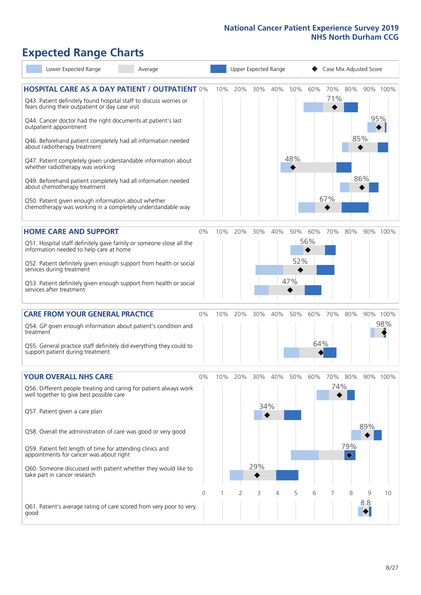# **Expected Range Charts**

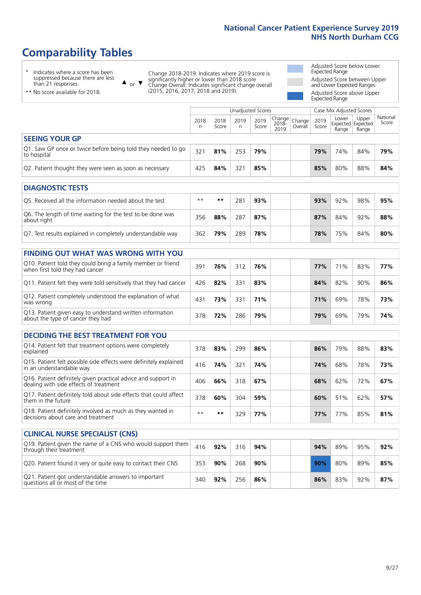# **Comparability Tables**

\* Indicates where a score has been suppressed because there are less than 21 responses.

\*\* No score available for 2018.

 $\triangle$  or  $\nabla$ 

Change 2018-2019: Indicates where 2019 score is significantly higher or lower than 2018 score Change Overall: Indicates significant change overall (2015, 2016, 2017, 2018 and 2019).

Adjusted Score below Lower Expected Range Adjusted Score between Upper and Lower Expected Ranges Adjusted Score above Upper Expected Range

|                                                                             | Unadjusted Scores |               |           |               |                                                  |         |               | Case Mix Adjusted Scores |                                     |                   |  |
|-----------------------------------------------------------------------------|-------------------|---------------|-----------|---------------|--------------------------------------------------|---------|---------------|--------------------------|-------------------------------------|-------------------|--|
|                                                                             | 2018<br>n         | 2018<br>Score | 2019<br>n | 2019<br>Score | $\sqrt{(\text{Change})}$ Change<br>2018-<br>2019 | Overall | 2019<br>Score | Lower<br>Range           | Upper<br>Expected Expected<br>Range | National<br>Score |  |
| <b>SEEING YOUR GP</b>                                                       |                   |               |           |               |                                                  |         |               |                          |                                     |                   |  |
| Q1. Saw GP once or twice before being told they needed to go<br>to hospital | 321               | 81%           | 253       | 79%           |                                                  |         | 79%           | 74%                      | 84%                                 | 79%               |  |
| Q2. Patient thought they were seen as soon as necessary                     | 425               | 84%           | 321       | 85%           |                                                  |         | 85%           | 80%                      | 88%                                 | 84%               |  |
| DIAGNOSTIC TESTS                                                            |                   |               |           |               |                                                  |         |               |                          |                                     |                   |  |

| <b>UMUNUSIK ILSIS</b>                                                     |      |     |     |     |  |     |     |     |     |
|---------------------------------------------------------------------------|------|-----|-----|-----|--|-----|-----|-----|-----|
| Q5. Received all the information needed about the test                    | $**$ | **  | 281 | 93% |  | 93% | 92% | 98% | 95% |
| Q6. The length of time waiting for the test to be done was<br>about right | 356  | 88% | 287 | 87% |  | 87% | 84% | 92% | 88% |
| Q7. Test results explained in completely understandable way               | 362  | 79% | 289 | 78% |  | 78% | 75% | 84% | 80% |

| <b>FINDING OUT WHAT WAS WRONG WITH YOU</b>                                                      |     |     |     |     |     |     |     |     |
|-------------------------------------------------------------------------------------------------|-----|-----|-----|-----|-----|-----|-----|-----|
| Q10. Patient told they could bring a family member or friend<br>when first told they had cancer | 391 | 76% | 312 | 76% | 77% | 71% | 83% | 77% |
| Q11. Patient felt they were told sensitively that they had cancer                               | 426 | 82% | 331 | 83% | 84% | 82% | 90% | 86% |
| Q12. Patient completely understood the explanation of what<br>was wrong                         | 431 | 73% | 331 | 71% | 71% | 69% | 78% | 73% |
| Q13. Patient given easy to understand written information<br>about the type of cancer they had  | 378 | 72% | 286 | 79% | 79% | 69% | 79% | 74% |

| <b>DECIDING THE BEST TREATMENT FOR YOU</b>                                                              |      |      |     |     |  |     |     |     |     |
|---------------------------------------------------------------------------------------------------------|------|------|-----|-----|--|-----|-----|-----|-----|
| Q14. Patient felt that treatment options were completely<br>explained                                   | 378  | 83%  | 299 | 86% |  | 86% | 79% | 88% | 83% |
| Q15. Patient felt possible side effects were definitely explained<br>in an understandable way           | 416  | 74%  | 321 | 74% |  | 74% | 68% | 78% | 73% |
| Q16. Patient definitely given practical advice and support in<br>dealing with side effects of treatment | 406  | 66%  | 318 | 67% |  | 68% | 62% | 72% | 67% |
| Q17. Patient definitely told about side effects that could affect<br>them in the future                 | 378  | 60%  | 304 | 59% |  | 60% | 51% | 62% | 57% |
| Q18. Patient definitely involved as much as they wanted in<br>decisions about care and treatment        | $**$ | $**$ | 329 | 77% |  | 77% | 77% | 85% | 81% |

| <b>CLINICAL NURSE SPECIALIST (CNS)</b>                                                    |     |     |     |     |     |     |     |     |
|-------------------------------------------------------------------------------------------|-----|-----|-----|-----|-----|-----|-----|-----|
| Q19. Patient given the name of a CNS who would support them<br>through their treatment    | 416 | 92% | 316 | 94% | 94% | 89% | 95% | 92% |
| Q20. Patient found it very or quite easy to contact their CNS                             | 353 | 90% | 268 | 90% | 90% | 80% | 89% | 85% |
| Q21. Patient got understandable answers to important<br>questions all or most of the time | 340 | 92% | 256 | 86% | 86% | 83% | 92% | 87% |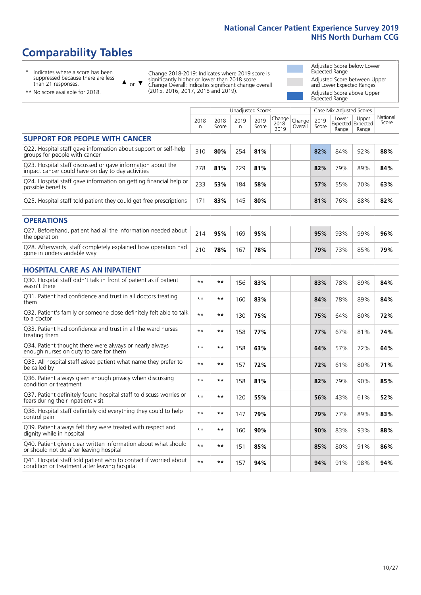# **Comparability Tables**

\* Indicates where a score has been suppressed because there are less than 21 responses.

\*\* No score available for 2018.

 $\triangle$  or  $\nabla$ 

Change 2018-2019: Indicates where 2019 score is significantly higher or lower than 2018 score Change Overall: Indicates significant change overall (2015, 2016, 2017, 2018 and 2019).

Adjusted Score below Lower Expected Range Adjusted Score between Upper and Lower Expected Ranges Adjusted Score above Upper Expected Range

|                                                                                                                   |              |               |            | <b>Unadjusted Scores</b> |                            |                   |               | Case Mix Adjusted Scores            |                |                   |
|-------------------------------------------------------------------------------------------------------------------|--------------|---------------|------------|--------------------------|----------------------------|-------------------|---------------|-------------------------------------|----------------|-------------------|
|                                                                                                                   | 2018<br>n    | 2018<br>Score | 2019<br>n. | 2019<br>Score            | Change<br>$2018 -$<br>2019 | Change<br>Overall | 2019<br>Score | Lower<br>Expected Expected<br>Range | Upper<br>Range | National<br>Score |
| <b>SUPPORT FOR PEOPLE WITH CANCER</b>                                                                             |              |               |            |                          |                            |                   |               |                                     |                |                   |
| Q22. Hospital staff gave information about support or self-help<br>groups for people with cancer                  | 310          | 80%           | 254        | 81%                      |                            |                   | 82%           | 84%                                 | 92%            | 88%               |
| Q23. Hospital staff discussed or gave information about the<br>impact cancer could have on day to day activities  | 278          | 81%           | 229        | 81%                      |                            |                   | 82%           | 79%                                 | 89%            | 84%               |
| Q24. Hospital staff gave information on getting financial help or<br>possible benefits                            | 233          | 53%           | 184        | 58%                      |                            |                   | 57%           | 55%                                 | 70%            | 63%               |
| Q25. Hospital staff told patient they could get free prescriptions                                                | 171          | 83%           | 145        | 80%                      |                            |                   | 81%           | 76%                                 | 88%            | 82%               |
| <b>OPERATIONS</b>                                                                                                 |              |               |            |                          |                            |                   |               |                                     |                |                   |
| Q27. Beforehand, patient had all the information needed about<br>the operation                                    | 214          | 95%           | 169        | 95%                      |                            |                   | 95%           | 93%                                 | 99%            | 96%               |
| Q28. Afterwards, staff completely explained how operation had<br>gone in understandable way                       | 210          | 78%           | 167        | 78%                      |                            |                   | 79%           | 73%                                 | 85%            | 79%               |
| <b>HOSPITAL CARE AS AN INPATIENT</b>                                                                              |              |               |            |                          |                            |                   |               |                                     |                |                   |
| Q30. Hospital staff didn't talk in front of patient as if patient<br>wasn't there                                 | $* *$        | **            | 156        | 83%                      |                            |                   | 83%           | 78%                                 | 89%            | 84%               |
| Q31. Patient had confidence and trust in all doctors treating<br>them                                             | $* *$        | $***$         | 160        | 83%                      |                            |                   | 84%           | 78%                                 | 89%            | 84%               |
| Q32. Patient's family or someone close definitely felt able to talk<br>to a doctor                                | $\star\star$ | **            | 130        | 75%                      |                            |                   | 75%           | 64%                                 | 80%            | 72%               |
| Q33. Patient had confidence and trust in all the ward nurses<br>treating them                                     | $* *$        | **            | 158        | 77%                      |                            |                   | 77%           | 67%                                 | 81%            | 74%               |
| Q34. Patient thought there were always or nearly always<br>enough nurses on duty to care for them                 | $* *$        | **            | 158        | 63%                      |                            |                   | 64%           | 57%                                 | 72%            | 64%               |
| Q35. All hospital staff asked patient what name they prefer to<br>be called by                                    | $**$         | **            | 157        | 72%                      |                            |                   | 72%           | 61%                                 | 80%            | 71%               |
| Q36. Patient always given enough privacy when discussing<br>condition or treatment                                | $* *$        | $***$         | 158        | 81%                      |                            |                   | 82%           | 79%                                 | 90%            | 85%               |
| Q37. Patient definitely found hospital staff to discuss worries or<br>fears during their inpatient visit          | $**$         | **            | 120        | 55%                      |                            |                   | 56%           | 43%                                 | 61%            | 52%               |
| Q38. Hospital staff definitely did everything they could to help<br>control pain                                  | $\star\star$ | $***$         | 147        | 79%                      |                            |                   | 79%           | 77%                                 | 89%            | 83%               |
| Q39. Patient always felt they were treated with respect and<br>dignity while in hospital                          | $**$         | **            | 160        | 90%                      |                            |                   | 90%           | 83%                                 | 93%            | 88%               |
| Q40. Patient given clear written information about what should<br>or should not do after leaving hospital         | $**$         | **            | 151        | 85%                      |                            |                   | 85%           | 80%                                 | 91%            | 86%               |
| Q41. Hospital staff told patient who to contact if worried about<br>condition or treatment after leaving hospital | $**$         | **            | 157        | 94%                      |                            |                   | 94%           | 91%                                 | 98%            | 94%               |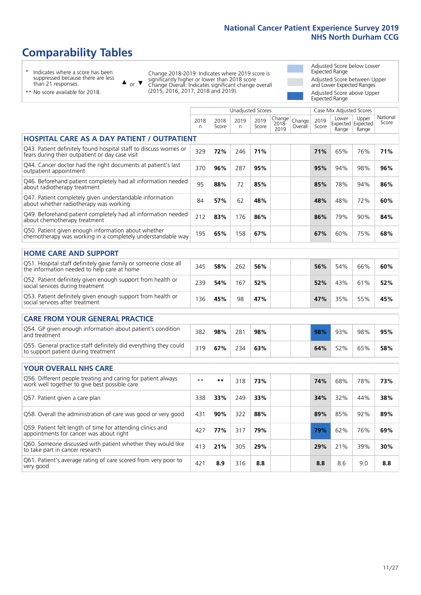# **Comparability Tables**

\* Indicates where a score has been suppressed because there are less than 21 responses.

\*\* No score available for 2018.

 $\triangle$  or  $\nabla$ 

Change 2018-2019: Indicates where 2019 score is significantly higher or lower than 2018 score Change Overall: Indicates significant change overall (2015, 2016, 2017, 2018 and 2019).

Adjusted Score below Lower Expected Range Adjusted Score between Upper and Lower Expected Ranges Adjusted Score above Upper Expected Range

|                                                                                                                       |                      |               | <b>Unadjusted Scores</b> |               |                         |                   |               | Case Mix Adjusted Scores            |                |                   |
|-----------------------------------------------------------------------------------------------------------------------|----------------------|---------------|--------------------------|---------------|-------------------------|-------------------|---------------|-------------------------------------|----------------|-------------------|
|                                                                                                                       | 2018<br>$\mathsf{n}$ | 2018<br>Score | 2019<br>n                | 2019<br>Score | Change<br>2018-<br>2019 | Change<br>Overall | 2019<br>Score | Lower<br>Expected Expected<br>Range | Upper<br>Range | National<br>Score |
| <b>HOSPITAL CARE AS A DAY PATIENT / OUTPATIENT</b>                                                                    |                      |               |                          |               |                         |                   |               |                                     |                |                   |
| Q43. Patient definitely found hospital staff to discuss worries or<br>fears during their outpatient or day case visit | 329                  | 72%           | 246                      | 71%           |                         |                   | 71%           | 65%                                 | 76%            | 71%               |
| Q44. Cancer doctor had the right documents at patient's last<br>outpatient appointment                                | 370                  | 96%           | 287                      | 95%           |                         |                   | 95%           | 94%                                 | 98%            | 96%               |
| Q46. Beforehand patient completely had all information needed<br>about radiotherapy treatment                         | 95                   | 88%           | 72                       | 85%           |                         |                   | 85%           | 78%                                 | 94%            | 86%               |
| Q47. Patient completely given understandable information<br>about whether radiotherapy was working                    | 84                   | 57%           | 62                       | 48%           |                         |                   | 48%           | 48%                                 | 72%            | 60%               |
| Q49. Beforehand patient completely had all information needed<br>about chemotherapy treatment                         | 212                  | 83%           | 176                      | 86%           |                         |                   | 86%           | 79%                                 | 90%            | 84%               |
| Q50. Patient given enough information about whether<br>chemotherapy was working in a completely understandable way    | 195                  | 65%           | 158                      | 67%           |                         |                   | 67%           | 60%                                 | 75%            | 68%               |
| <b>HOME CARE AND SUPPORT</b>                                                                                          |                      |               |                          |               |                         |                   |               |                                     |                |                   |
| Q51. Hospital staff definitely gave family or someone close all<br>the information needed to help care at home        | 345                  | 58%           | 262                      | 56%           |                         |                   | 56%           | 54%                                 | 66%            | 60%               |
| Q52. Patient definitely given enough support from health or<br>social services during treatment                       | 239                  | 54%           | 167                      | 52%           |                         |                   | 52%           | 43%                                 | 61%            | 52%               |
| Q53. Patient definitely given enough support from health or<br>social services after treatment                        | 136                  | 45%           | 98                       | 47%           |                         |                   | 47%           | 35%                                 | 55%            | 45%               |
| <b>CARE FROM YOUR GENERAL PRACTICE</b>                                                                                |                      |               |                          |               |                         |                   |               |                                     |                |                   |
| Q54. GP given enough information about patient's condition<br>and treatment                                           | 382                  | 98%           | 281                      | 98%           |                         |                   | 98%           | 93%                                 | 98%            | 95%               |
| Q55. General practice staff definitely did everything they could<br>to support patient during treatment               | 319                  | 67%           | 234                      | 63%           |                         |                   | 64%           | 52%                                 | 65%            | 58%               |
| <b>YOUR OVERALL NHS CARE</b>                                                                                          |                      |               |                          |               |                         |                   |               |                                     |                |                   |
| Q56. Different people treating and caring for patient always<br>work well together to give best possible care         | $* *$                | $***$         | 318                      | 73%           |                         |                   | 74%           | 68%                                 | 78%            | 73%               |
| Q57. Patient given a care plan                                                                                        | 338                  | 33%           | 249                      | 33%           |                         |                   | 34%           | 32%                                 | 44%            | 38%               |
| Q58. Overall the administration of care was good or very good                                                         | 431                  | 90%           | 322                      | 88%           |                         |                   | 89%           | 85%                                 | 92%            | 89%               |
| Q59. Patient felt length of time for attending clinics and<br>appointments for cancer was about right                 | 427                  | 77%           | 317                      | 79%           |                         |                   | 79%           | 62%                                 | 76%            | 69%               |
| Q60. Someone discussed with patient whether they would like<br>to take part in cancer research                        | 413                  | 21%           | 305                      | 29%           |                         |                   | 29%           | 21%                                 | 39%            | 30%               |
| Q61. Patient's average rating of care scored from very poor to<br>very good                                           | 421                  | 8.9           | 316                      | 8.8           |                         |                   | 8.8           | 8.6                                 | 9.0            | 8.8               |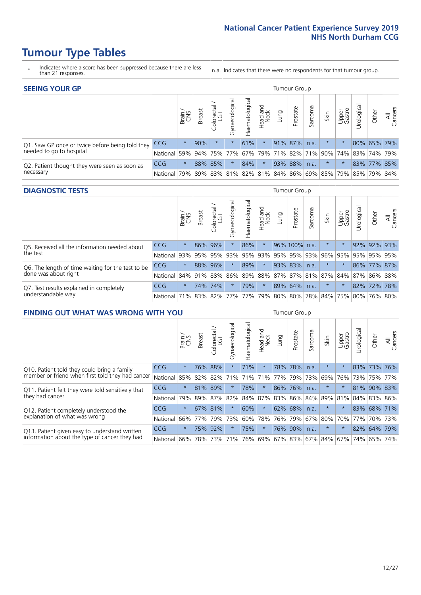# **Tumour Type Tables**

- \* Indicates where a score has been suppressed because there are less than 21 responses.
- n.a. Indicates that there were no respondents for that tumour group.

| <b>SEEING YOUR GP</b>                           |            |         |               |            |                   |                |                  |      | Tumour Group |         |         |                 |                                                           |             |                |
|-------------------------------------------------|------------|---------|---------------|------------|-------------------|----------------|------------------|------|--------------|---------|---------|-----------------|-----------------------------------------------------------|-------------|----------------|
|                                                 |            | Brain   | <b>Breast</b> | Colorectal | ত<br>Gynaecologic | Haematological | Head and<br>Neck | Lung | Prostate     | Sarcoma | Skin    | Upper<br>Gastro | $\sigma$<br>Jrologica                                     | Other       | All<br>Cancers |
| Q1. Saw GP once or twice before being told they | <b>CCG</b> | $\star$ | 90%           | $\star$    |                   | 61%            | $\star$          |      | 91% 87%      | n.a.    | $\star$ |                 |                                                           | 80% 65% 79% |                |
| needed to go to hospital                        | National   | 59%     |               |            | 94% 75% 77%       |                |                  |      |              |         |         |                 | 67%   79%   71%   82%   71%   90%   74%   83%   74%   79% |             |                |
| Q2. Patient thought they were seen as soon as   | <b>CCG</b> | $\star$ |               | 88% 85%    | $\star$           | 84%            | $\star$          |      | 93% 88%      | n.a.    | $\star$ | $\star$         |                                                           | 83% 77% 85% |                |
| necessary                                       | National   | 79%     |               | 89% 83%    |                   |                |                  |      |              |         |         |                 | 81% 82% 81% 84% 86% 69% 85% 79% 85% 79%                   |             | 84%            |

#### **DIAGNOSTIC TESTS** Tumour Group

|                                                   |                                                                  | Brain   | <b>Breast</b> | Colorectal<br>LGT | ᠊ᢛ<br>Gynaecologic | Haematological | Head and<br>Neck | Lung | Prostate      | Sarcoma | Skin    | Upper<br>Gastro | rological                                   | Other | All<br>Cancers |
|---------------------------------------------------|------------------------------------------------------------------|---------|---------------|-------------------|--------------------|----------------|------------------|------|---------------|---------|---------|-----------------|---------------------------------------------|-------|----------------|
| Q5. Received all the information needed about     | <b>CCG</b>                                                       | $\star$ |               | 86% 96%           |                    | 86%            | $\star$          |      | 96% 100% n.a. |         | $\star$ | $\star$         |                                             |       | 92% 92% 93%    |
| the test                                          | National                                                         | 93%     |               | 95% 95%           |                    | 93% 95%        |                  |      | 93% 95% 95%   | 93%     | 96%     | 95%             | 95% 95% 95%                                 |       |                |
| Q6. The length of time waiting for the test to be | <b>CCG</b>                                                       | $\star$ |               | 88% 96%           | $\star$            | 89%            | $\star$          |      | 93% 83%       | n.a.    | $\star$ | $\star$         |                                             |       | 86% 77% 87%    |
| done was about right                              | National                                                         |         |               | 84% 91% 88%       |                    |                |                  |      |               |         |         |                 | 86% 89% 88% 87% 87% 81% 87% 84% 87% 86% 88% |       |                |
| Q7. Test results explained in completely          | CCG                                                              | $\star$ |               | 74% 74%           | $\star$            | 79%            | $\star$          |      | 89% 64%       | n.a.    | $\star$ | $\star$         |                                             |       | 82% 72% 78%    |
| understandable way                                | National 71% 83% 82% 77% 77% 79% 80% 80% 78% 84% 75% 80% 76% 80% |         |               |                   |                    |                |                  |      |               |         |         |                 |                                             |       |                |

| <b>FINDING OUT WHAT WAS WRONG WITH YOU</b>        |            |         |               |                             |                |                    |                        |         | <b>Tumour Group</b> |         |         |                 |            |         |                |
|---------------------------------------------------|------------|---------|---------------|-----------------------------|----------------|--------------------|------------------------|---------|---------------------|---------|---------|-----------------|------------|---------|----------------|
|                                                   |            | Brain   | <b>Breast</b> | olorectal.<br>LGT<br>$\cup$ | Gynaecological | aematological<br>Ĩ | ad and<br>Neck<br>Head | Lung    | Prostate            | Sarcoma | Skin    | Upper<br>Gastro | Urological | Other   | All<br>Cancers |
| Q10. Patient told they could bring a family       | CCG        | $\star$ | 76%           | 88%                         |                | 71%                | $\star$                |         | 78% 78%             | n.a.    | $\star$ | $\star$         |            | 83% 73% | 76%            |
| member or friend when first told they had cancer  | National   | 85%     | 82%           | 82%                         | 71%            | 71%                | 71%                    | 77%     | 79%                 | 73%     | 69%     | 76%             | 73%        | 75%     | 77%            |
| Q11. Patient felt they were told sensitively that | <b>CCG</b> | $\star$ | 81% 89%       |                             |                | 78%                | $\star$                |         | 86% 76%             | n.a.    | $\ast$  | $\star$         |            | 81% 90% | 83%            |
| they had cancer                                   | National   | 79%     |               | 89% 87% 82%                 |                |                    | 84% 87%                | 83% 86% |                     |         |         | 84% 89% 81%     |            | 84% 83% | 86%            |
| Q12. Patient completely understood the            | CCG        | $\star$ | 67% 81%       |                             |                | 60%                | $\star$                | 62% 68% |                     | n.a.    |         |                 | 83%        | 68%     | 171%           |
| explanation of what was wrong                     | National   | 66%     | 77%           | 79%                         | 73%            | 60%                | 78%                    | 76% 79% |                     | 67%     | 80%     | 70%             | 77%        | 70%     | 73%            |
| Q13. Patient given easy to understand written     | CCG        | $\star$ | 75%           | 92%                         |                | 75%                | $\star$                |         | 76% 90%             | n.a.    | $\star$ | $\star$         |            | 82% 64% | 79%            |
| information about the type of cancer they had     | National   | 66%     | 78%           | 73%                         | 71%            | 76%                | 69%                    | 67% 83% |                     |         | 67% 84% | 67%             | 74%        | 65%     | 74%            |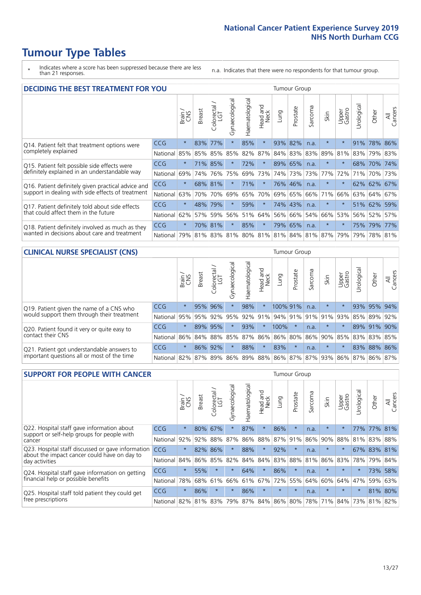# **Tumour Type Tables**

- \* Indicates where a score has been suppressed because there are less than 21 responses.
- n.a. Indicates that there were no respondents for that tumour group.

| <b>DECIDING THE BEST TREATMENT FOR YOU</b>         |          |         |               |                        |                |                |                                 |      | <b>Tumour Group</b>                 |              |         |                 |            |         |                |
|----------------------------------------------------|----------|---------|---------------|------------------------|----------------|----------------|---------------------------------|------|-------------------------------------|--------------|---------|-----------------|------------|---------|----------------|
|                                                    |          | Brain   | <b>Breast</b> | olorectal.<br>LGT<br>Ū | Gynaecological | Haematological | <b>Bad and<br/>Neck</b><br>Head | Lung | Prostate                            | arcoma<br>vĀ | Skin    | Upper<br>Gastro | Jrological | Other   | All<br>Cancers |
| Q14. Patient felt that treatment options were      | CCG      | $\star$ | 83%           | 77%                    | $\star$        | 85%            | $\star$                         | 93%  | 82%                                 | n.a.         | $\star$ | $\star$         | 91%        | 78%     | 86%            |
| completely explained                               | National | 85%     |               | 85% 85%                | 85%            | 82%            | 87%                             |      | 84% 83%                             | 83%          | 89%     | 81%             |            | 83% 79% | 83%            |
| Q15. Patient felt possible side effects were       | CCG      | $\star$ |               | 71% 85%                | $\star$        | 72%            | $\star$                         |      | 89% 65%                             | n.a.         | $\star$ | $\star$         |            | 68% 70% | 74%            |
| definitely explained in an understandable way      | National | 69%     | 74%           | 76%                    | 75%            | 69%            | 73%                             |      | 74% 73%                             | 73%          | 77%     | 72%             | 71%        | 70%     | 73%            |
| Q16. Patient definitely given practical advice and | CCG      | $\star$ |               | 68% 81%                |                | 71%            | $\star$                         |      | 76% 46%                             | n.a.         | $\star$ | $\star$         |            | 62% 62% | 67%            |
| support in dealing with side effects of treatment  | National | 63%     | 70%           | 70%                    | 69%            | 65%            | 70%                             | 69%  | 65%                                 | 66%          | 71%     | 66%             |            | 63% 64% | 67%            |
| Q17. Patient definitely told about side effects    | CCG      | $\star$ | 48%           | 79%                    | $\star$        | 59%            | $\star$                         |      | 74% 43%                             | n.a.         | $\star$ | $\star$         |            | 51% 62% | 59%            |
| that could affect them in the future               | National | 62%     | 57%           | 59%                    | 56%            | 51%            | 64%                             | 56%  | 66%                                 | 54%          | 66%     | 53%             |            | 56% 52% | 57%            |
| Q18. Patient definitely involved as much as they   | CCG      | $\star$ | 70%           | 81%                    | $\star$        | 85%            | $\star$                         | 79%  | 65%                                 | n.a.         | $\star$ | $\star$         |            | 75% 79% | 77%            |
| wanted in decisions about care and treatment       | National | 79%     |               |                        |                |                |                                 |      | 81% 83% 81% 80% 81% 81% 84% 81% 87% |              |         | 79%             | 79%        | 78% 81% |                |

#### **CLINICAL NURSE SPECIALIST (CNS)** Tumour Group

|                                             |          | Brain   | <b>Breast</b>   | Colorectal<br>LGT | Gynaecologica | aematological | Head and<br>Neck | Lung                            | Prostate | Sarcoma | Skin    | Upper<br>Gastro | rological | Other   | All<br>Cancers |
|---------------------------------------------|----------|---------|-----------------|-------------------|---------------|---------------|------------------|---------------------------------|----------|---------|---------|-----------------|-----------|---------|----------------|
| Q19. Patient given the name of a CNS who    | CCG      | $\star$ | 95%             | 96%               |               | 98%           | $\star$          | 100% 91%                        |          | n.a.    | $\star$ |                 |           | 93% 95% | 94%            |
| would support them through their treatment  | National | 95%     | 95%             | 92%               | 95%           | 92%           | 91%              | $ 94\% 91\% $                   |          |         | 91% 91% | 93%             | 85%       | 89%     | 92%            |
| Q20. Patient found it very or quite easy to | CCG      | $\star$ |                 | 89% 95%           |               | 93%           | $\star$          | 100%                            | $^\star$ | n.a.    | $\star$ |                 | 89%       | 91%     | 90%            |
| contact their CNS                           | National |         | 86% 84% 88% 85% |                   |               | 87%           | 86%              | 86% 80%                         |          |         |         | 86% 90% 85%     |           | 83% 83% | 85%            |
| Q21. Patient got understandable answers to  | CCG      | $\star$ | 86%             | 92%               |               | 88%           | $\star$          | 83%                             | $\star$  | n.a.    | $\star$ | $\star$         | 83%       | 88%     | 86%            |
| important questions all or most of the time | National |         | 82% 87% 89% 86% |                   |               |               |                  | 89% 88% 86% 87% 87% 93% 86% 87% |          |         |         |                 |           | 86%     | 87%            |

| <b>SUPPORT FOR PEOPLE WITH CANCER</b>                                                             |            |         |               |                             |                |                |                         |             | Tumour Group |              |         |                 |            |         |                |
|---------------------------------------------------------------------------------------------------|------------|---------|---------------|-----------------------------|----------------|----------------|-------------------------|-------------|--------------|--------------|---------|-----------------|------------|---------|----------------|
|                                                                                                   |            | Brain   | <b>Breast</b> | blorectal.<br>LGT<br>$\cup$ | Gynaecological | Haematological | ead and<br>Neck<br>Head | <b>Dung</b> | Prostate     | arcoma<br>vĀ | Skin    | Upper<br>Gastro | Urological | Other   | All<br>Cancers |
| Q22. Hospital staff gave information about<br>support or self-help groups for people with         | CCG        | $\star$ | 80%           | 67%                         | $\star$        | 87%            | $\star$                 | 86%         | $\star$      | n.a.         | $\star$ | $\star$         | 77%        | $77\%$  | 81%            |
| cancer                                                                                            | National   | 92%     | 92%           | 88%                         | 87%            | 86%            | 88%                     | 87%         | 91%          | 86%          | 90%     | 88%             | 81%        | 83%     | 88%            |
| Q23. Hospital staff discussed or gave information<br>about the impact cancer could have on day to | <b>CCG</b> | $\star$ | 82%           | 86%                         | $\star$        | 88%            | $\ast$                  | 92%         | $\star$      | n.a.         | $\star$ | $\star$         | 67%        | 83% 81% |                |
| day activities                                                                                    | National   | 84%     |               | 86% 85%                     | 82%            | 84%            | 84%                     | 83%         | 88%          | 81%          | 86%     | 83%             | 78%        | 79%     | 84%            |
| Q24. Hospital staff gave information on getting                                                   | <b>CCG</b> | $\star$ | 55%           | $\star$                     | $\star$        | 64%            | $\star$                 | 86%         | $\star$      | n.a.         | $\star$ | $\star$         | $\star$    | 73%     | 58%            |
| financial help or possible benefits                                                               | National   | 78%     | 68%           | 61%                         | 66%            | 61%            | 67%                     | 72%         | 55%          | 64%          | 60%     | 64%             | 47%        | 59%     | 63%            |
| Q25. Hospital staff told patient they could get                                                   | CCG        | $\star$ | 86%           | $\star$                     | $\star$        | 86%            | $\star$                 | $\star$     | $\star$      | n.a.         | $\star$ | $\star$         | $\star$    | 81%     | 80%            |
| free prescriptions                                                                                | National   | 82%     | 81%           | 83%                         | 79%            | 87%            | 84%                     | 86%         | 80%          | 78%          | 71%     | 84%             | 73%        | 81%     | 82%            |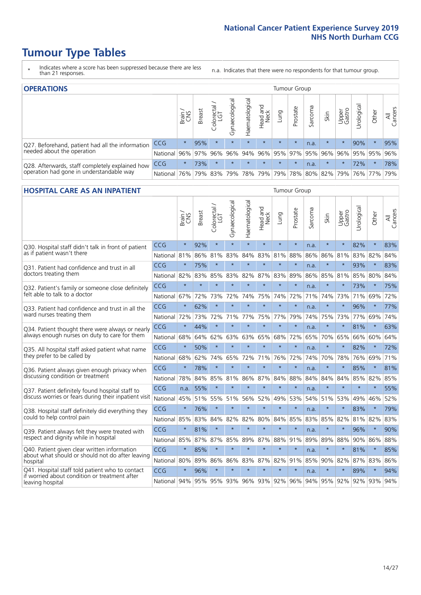# **Tumour Type Tables**

- \* Indicates where a score has been suppressed because there are less than 21 responses.
- n.a. Indicates that there were no respondents for that tumour group.

| <b>OPERATIONS</b>                                |            |              |               |            |                |                |                  |         | Tumour Group                            |         |         |                 |                |         |                |
|--------------------------------------------------|------------|--------------|---------------|------------|----------------|----------------|------------------|---------|-----------------------------------------|---------|---------|-----------------|----------------|---------|----------------|
|                                                  |            | Brain<br>CNS | <b>Breast</b> | Colorectal | Gynaecological | Haematological | Head and<br>Neck | Dung    | Prostate                                | Sarcoma | Skin    | Upper<br>Gastro | σ<br>Jrologica | Other   | All<br>Cancers |
| Q27. Beforehand, patient had all the information | <b>CCG</b> | $\star$      | 95%           | $\star$    | $\star$        | $\star$        | $\star$          | $\star$ | $\star$                                 | n.a.    | $\star$ |                 | 90%            | $\star$ | 95%            |
| needed about the operation                       | National   | 96%          | 97%           | 96%        | 96%            | 94%            |                  |         | $ 96\% 95\% 97\% $                      |         | 95% 96% | 96%             |                | 95% 95% | 96%            |
| Q28. Afterwards, staff completely explained how  | <b>CCG</b> | $\star$      | 73%           | $\star$    | $\star$        | $\star$        | $\star$          | $\star$ | $\star$                                 | n.a.    | $\star$ | $\star$         | 72%            | $\star$ | 78%            |
| operation had gone in understandable way         | National I | 76%          |               | 79% 83%    | 79%            |                |                  |         | 78%   79%   79%   78%   80%   82%   79% |         |         |                 |                | 76% 77% | 79%            |

### **HOSPITAL CARE AS AN INPATIENT** Tumour Group

|                                                                                                  |              | Brain   | Breast  | Colorectal /<br>LGT | Gynaecological  | Haematological | Head and<br>Neck | Lung    | Prostate | Sarcoma | Skin    | Upper<br>Gastro | Urological          | Other   | All<br>Cancers |
|--------------------------------------------------------------------------------------------------|--------------|---------|---------|---------------------|-----------------|----------------|------------------|---------|----------|---------|---------|-----------------|---------------------|---------|----------------|
| Q30. Hospital staff didn't talk in front of patient                                              | CCG          | $\star$ | 92%     | $\star$             | $\star$         | $\star$        | $\star$          | $\star$ | $\star$  | n.a.    | $\star$ | $\star$         | 82%                 | $\star$ | 83%            |
| as if patient wasn't there                                                                       | National     | 81%     | 86%     | 81%                 | 83%             | 84%            | 83%              | 81%     | 88%      | 86%     | 86%     | 81%             | 83%                 | 82%     | 84%            |
| 031. Patient had confidence and trust in all                                                     | CCG          | $\star$ | 75%     | $\star$             | $\star$         | $\star$        | $\star$          | $\star$ | $\star$  | n.a.    |         |                 | 93%                 | $\star$ | 83%            |
| doctors treating them                                                                            | National 82% |         | 83%     | 85%                 | 83%             | 82%            |                  | 87% 83% | 89%      | 86%     | 85%     | 81%             | 85%                 | 80%     | 84%            |
| Q32. Patient's family or someone close definitely                                                | CCG          | $\star$ | $\star$ | $\star$             | $\star$         | $\star$        | $\star$          | $\star$ | $\star$  | n.a.    |         |                 | 73%                 | $\star$ | 75%            |
| felt able to talk to a doctor                                                                    | National     | 67%     | 72%     | 73%                 | 72%             | 74%            | 75%              | 74%     | 72%      | 71%     | 74%     | 73%             | 71%                 | 69%     | 72%            |
| O33. Patient had confidence and trust in all the                                                 | CCG          | $\star$ | 62%     | $\star$             | $\star$         | $\star$        | $\star$          | $\star$ | $\star$  | n.a.    | $\star$ | $\star$         | 96%                 | $\star$ | 77%            |
| ward nurses treating them                                                                        | National     | 72%     | 73%     | 72%                 | 71%             | 77%            | 75%              | 77%     | 79%      | 74%     | 75%     | 73%             | 77%                 | 69%     | 74%            |
| Q34. Patient thought there were always or nearly                                                 | CCG          | $\star$ | 44%     | $\star$             | $\star$         | $\star$        | $\star$          | $\star$ | $\star$  | n.a.    | $\star$ | $\star$         | 81%                 | $\star$ | 63%            |
| always enough nurses on duty to care for them                                                    | National     | 68%     | 64%     | 62%                 | 63%             | 63%            | 65%              | 68%     | 72%      | 65%     | 70%     | 65%             | 66%                 | 60%     | 64%            |
| Q35. All hospital staff asked patient what name                                                  | CCG          | $\star$ | 50%     | $\star$             | $\star$         | $\star$        | $\star$          | $\star$ | $\star$  | n.a.    |         |                 | 82%                 | $\star$ | 72%            |
| they prefer to be called by                                                                      | National     | 68%     | 62%     | 74%                 | 65%             | 72%            | 71%              | 76%     | 72%      | 74%     | 70%     | 78%             | 76%                 | 69%     | 71%            |
| Q36. Patient always given enough privacy when                                                    | CCG          | $\star$ | 78%     | $\star$             | $\star$         | $\star$        | $\star$          | $\star$ | $\star$  | n.a.    |         |                 | 85%                 | $\star$ | 81%            |
| discussing condition or treatment                                                                | National     | 78%     | 84%     | 85%                 | 81%             | 86%            |                  | 87% 84% | 88%      | 84%     | 84%     | 84%             | 85%                 | 82%     | 85%            |
| Q37. Patient definitely found hospital staff to                                                  | <b>CCG</b>   | n.a.    | 55%     | $\star$             |                 | ÷              | $\star$          | $\star$ | $\star$  | n.a.    | $\star$ |                 | $\star$             | $\star$ | 55%            |
| discuss worries or fears during their inpatient visit                                            | National     | 45%     | 51%     | 55%                 | 51%             | 56%            | 52%              | 49%     | 53%      | 54%     | 51%     | 53%             | 49%                 | 46%     | 52%            |
| Q38. Hospital staff definitely did everything they                                               | CCG          | $\star$ | 76%     | $\star$             | $\star$         | $\star$        | $\star$          | $\star$ | $\star$  | n.a.    | $\star$ | $\star$         | 83%                 | $\star$ | 79%            |
| could to help control pain                                                                       | National     | 85%     | 83%     | 84%                 | 82%             | 82%            | 80%              | 84%     | 85%      | 83%     | 85%     | 82%             | 81%                 | 82%     | 83%            |
| Q39. Patient always felt they were treated with                                                  | CCG          | $\star$ | 81%     | $\star$             | $\star$         | $\star$        | $\star$          | $\star$ | $\star$  | n.a.    | $\star$ |                 | 96%                 | $\star$ | 90%            |
| respect and dignity while in hospital                                                            | National     | 85%     | 87%     | 87%                 | 85%             | 89%            |                  | 87% 88% | 91%      | 89%     | 89%     | 88%             | 90%                 | 86%     | 88%            |
| Q40. Patient given clear written information<br>about what should or should not do after leaving | CCG          | $\star$ | 85%     | $\star$             | $\star$         | $\star$        | $\star$          | $\star$ | $\star$  | n.a.    | $\ast$  | $\star$         | 81%                 | $\star$ | 85%            |
| hospital                                                                                         | National 80% |         | 89%     | 86%                 | 86%             | 83%            |                  | 87% 82% | 91%      | 85%     | 90% 82% |                 | 87%                 | 83%     | 86%            |
| Q41. Hospital staff told patient who to contact<br>if worried about condition or treatment after | CCG          | $\star$ | 96%     | $\star$             | $\star$         | $\star$        | $\star$          | $\star$ | $\star$  | n.a.    | $\star$ |                 | 89%                 | $\star$ | 94%            |
| leaving hospital                                                                                 | National 94% |         |         |                     | 95% 95% 93% 96% |                |                  | 93% 92% | 96%      | 94%     |         |                 | 95% 92% 92% 93% 94% |         |                |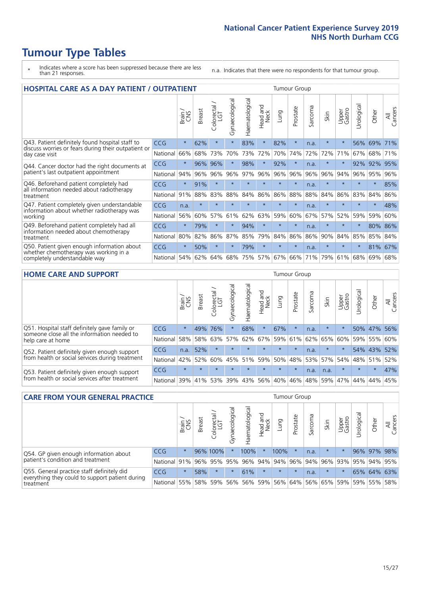# **Tumour Type Tables**

- \* Indicates where a score has been suppressed because there are less than 21 responses.
- n.a. Indicates that there were no respondents for that tumour group.

| <b>HOSPITAL CARE AS A DAY PATIENT / OUTPATIENT</b><br><b>Tumour Group</b>                                             |            |         |               |                       |                |                |                         |         |          |         |         |                 |            |         |                |
|-----------------------------------------------------------------------------------------------------------------------|------------|---------|---------------|-----------------------|----------------|----------------|-------------------------|---------|----------|---------|---------|-----------------|------------|---------|----------------|
|                                                                                                                       |            | Brain   | <b>Breast</b> | olorectal<br>LGT<br>Ū | Gynaecological | Haematological | aad and<br>Neck<br>Head | Lung    | Prostate | Sarcoma | Skin    | Upper<br>Gastro | Urological | Other   | All<br>Cancers |
| Q43. Patient definitely found hospital staff to                                                                       | CCG        | $\star$ | 62%           | $\star$               | $\star$        | 83%            | $\star$                 | 82%     | $\star$  | n.a.    | $\star$ | $\star$         | 56%        | 69%     | 71%            |
| discuss worries or fears during their outpatient or<br>day case visit                                                 | National   | 66%     | 68%           | 73%                   | 70%            | 73%            | 72%                     | 70%     | 74%      | 72%     | 72%     | 71%             | 67%        | 68%     | 71%            |
| Q44. Cancer doctor had the right documents at<br>patient's last outpatient appointment                                | CCG        | $\star$ | 96%           | 96%                   | $\star$        | 98%            | $\star$                 | 92%     | $\star$  | n.a.    |         | $\star$         | 92%        | 92%     | 95%            |
|                                                                                                                       | National   | 94%     | 96%           | 96%                   | 96%            | 97%            | 96%                     | 96%     | 96%      | 96%     | 96%     | 94%             | 96%        | 95%     | 96%            |
| Q46. Beforehand patient completely had<br>all information needed about radiotherapy<br>treatment                      | <b>CCG</b> | $\star$ | 91%           | $\star$               |                |                | $\star$                 | $\star$ | $\star$  | n.a.    |         | $\star$         | $\star$    | $\star$ | 85%            |
|                                                                                                                       | National   | 91%     | 88%           | 83%                   | 88%            | 84%            | 86%                     | 86%     | 88%      | 88%     | 84%     | 86%             | 83%        | 84%     | 86%            |
| Q47. Patient completely given understandable                                                                          | <b>CCG</b> | n.a.    | $\star$       | $\star$               |                | ÷              | $\star$                 | $\star$ | $\star$  | n.a.    | $\star$ | $\star$         | ÷          | $\ast$  | 48%            |
| information about whether radiotherapy was<br>working                                                                 | National   | 56%     | 60%           | 57%                   | 61%            | 62%            | 63%                     | 59%     | 60%      | 67%     | 57%     | 52%             | 59%        | 59%     | 60%            |
| Q49. Beforehand patient completely had all<br>information needed about chemotherapy<br>treatment                      | CCG        | $\star$ | 79%           | $\star$               | $\star$        | 94%            | $\star$                 | $\star$ | $\star$  | n.a.    | $\star$ | $\star$         | $^\star$   | 80%     | 86%            |
|                                                                                                                       | National   | 80%     | 82%           | 86%                   | 87%            | 85%            | 79%                     | 84%     | 86%      | 86%     | 90%     | 84%             | 85%        | 85%     | 84%            |
| Q50. Patient given enough information about<br>whether chemotherapy was working in a<br>completely understandable way | <b>CCG</b> | $\star$ | 50%           | $\star$               | $\star$        | 79%            | $\star$                 | $\star$ | $\star$  | n.a.    | $\star$ |                 |            | 81%     | 67%            |
|                                                                                                                       | National   | 54%     | 62%           | 64%                   | 68%            | 75%            |                         | 57% 67% | 66%      | 71%     | 79%     | 61%             | 68%        | 69%     | 68%            |

#### **HOME CARE AND SUPPORT** Tumour Group

|                                                                                                                   |            | Brain   | Breast  | Colorectal<br>LGT | $\sigma$<br>Gynaecologic | Haematological | Head and<br>Neck | <b>Dung</b> | Prostate | Sarcoma | Skin    | Upper<br>Gastro | rological   | Other   | All<br>Cancers |
|-------------------------------------------------------------------------------------------------------------------|------------|---------|---------|-------------------|--------------------------|----------------|------------------|-------------|----------|---------|---------|-----------------|-------------|---------|----------------|
| Q51. Hospital staff definitely gave family or<br>someone close all the information needed to<br>help care at home | <b>CCG</b> | $\star$ | 49%     | 76%               |                          | 68%            | $\star$          | 67%         | $\star$  | n.a.    | $\star$ | $\star$         |             | 50% 47% | 56%            |
|                                                                                                                   | National   | 58%     | 58%     | 63%               | 57%                      | 62%            |                  | 67% 59% 61% |          |         | 62% 65% | 60%             |             | 59% 55% | 60%            |
| Q52. Patient definitely given enough support<br>from health or social services during treatment                   | <b>CCG</b> | n.a.    | 52%     |                   | $\star$                  |                | $\star$          | $\star$     | $\star$  | n.a.    | $\star$ | $\star$         |             | 54% 43% | 52%            |
|                                                                                                                   | National   | 42%     | 52%     | 60%               |                          | 45% 51%        | 59%              | 50%         | 48%      |         | 53% 57% |                 | 54% 48% 51% |         | 52%            |
| Q53. Patient definitely given enough support<br>from health or social services after treatment                    | <b>CCG</b> | $\star$ |         |                   |                          |                | $\star$          | $\star$     | $\star$  | n.a.    | n.a.    | $\star$         | $\star$     | $\star$ | 47%            |
|                                                                                                                   | National l | 39%     | 41% 53% |                   | 39%                      | $ 43\% $       | 56%              | 40%         | 46%      | 48%     | 59%     | 47%             | 44%         | 44%     | 45%            |

| <b>CARE FROM YOUR GENERAL PRACTICE</b>                                                                     |              |         |               |                   |                |                | Tumour Group     |                 |          |         |         |                 |                 |             |                |
|------------------------------------------------------------------------------------------------------------|--------------|---------|---------------|-------------------|----------------|----------------|------------------|-----------------|----------|---------|---------|-----------------|-----------------|-------------|----------------|
|                                                                                                            |              | Brain   | <b>Breast</b> | Colorectal<br>LGT | Gynaecological | Haematological | Head and<br>Neck | Lung            | Prostate | Sarcoma | Skin    | Upper<br>Gastro | Urologica       | Other       | All<br>Cancers |
| Q54. GP given enough information about<br>patient's condition and treatment                                | CCG          | $\star$ |               | 96% 100%          |                | 100%           | $\star$          | 100%            |          | n.a.    | $\star$ | $\star$         |                 | 96% 97% 98% |                |
|                                                                                                            | National 91% |         |               | 96% 95%           | 95%            |                |                  | 96% 94% 94% 96% |          |         | 94% 96% |                 | 93% 95% 94% 95% |             |                |
| Q55. General practice staff definitely did<br>everything they could to support patient during<br>treatment | <b>CCG</b>   | $\star$ | 58%           | $\star$           | $\star$        | 61%            | $\star$          | $\star$         | $\star$  | n.a.    | $\star$ | $\star$         |                 | 65% 64% 63% |                |
|                                                                                                            | National 55% |         |               | 58% 59%           | 56%            |                | 56% 59%          |                 | 56% 64%  |         |         | 56% 65% 59%     |                 | 59% 55%     | 58%            |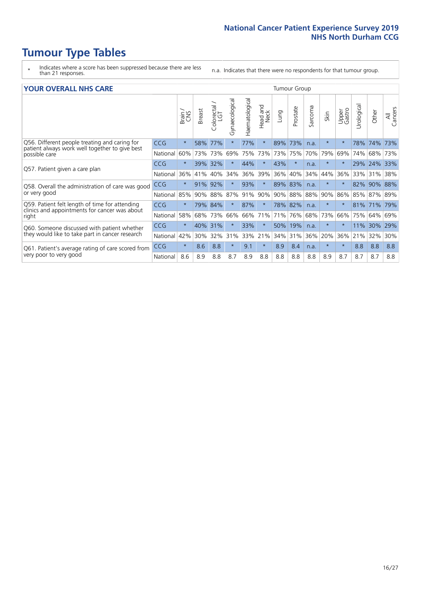# **Tumour Type Tables**

- \* Indicates where a score has been suppressed because there are less than 21 responses.
- n.a. Indicates that there were no respondents for that tumour group.

#### **YOUR OVERALL NHS CARE** THE TWO CONTROLLER THE THE THROUP CHANGE THE TUMOUR GROUP

| Haematological<br>Gynaecological<br>Urological<br>Colorectal<br>LGT<br><b>Bad and</b><br>Neck<br>Sarcoma<br>Prostate<br>All<br>Cancers<br>Upper<br>Gastro<br><b>Breast</b><br>Other<br>Lung<br>Skin<br>Brain<br>Head<br>Q56. Different people treating and caring for<br>$\star$<br>77%<br>$\ast$<br>73%<br>CCG<br>58%<br>77%<br>89%<br>$\star$<br>74%<br>$\star$<br>78%<br>73%<br>n.a.<br>patient always work well together to give best<br>70%<br>79%<br>60%<br>73%<br>75%<br>73%<br>73%<br>75%<br>69%<br>68%<br>73%<br>National<br>73%<br>69%<br>74%<br>possible care<br>43%<br>$\star$<br>32%<br>44%<br>$\ast$<br>$\star$<br>$\star$<br>24%<br><b>CCG</b><br>39%<br>29%<br>33%<br>n.a.<br>Q57. Patient given a care plan<br>39%<br>40%<br>36%<br>40%<br>34%<br>36%<br>36%<br>34%<br>44%<br>36%<br>33%<br>National<br>41%<br>31%<br>38%<br>91%<br>92%<br>93%<br>$\ast$<br>89%<br>83%<br>88%<br>$\star$<br>$\star$<br>82%<br>90%<br>CCG<br>n.a.<br>Q58. Overall the administration of care was good<br>or very good<br>88%<br>88%<br>87%<br>91%<br>90%<br>90% 88%<br>90%<br>86%<br>National<br>85%<br>90%<br>85%<br>87% 89%<br>Q59. Patient felt length of time for attending<br>$\star$<br>78% 82%<br>CCG<br>79% 84%<br>87%<br>$\star$<br>$\star$<br>$\star$<br>$\star$<br>81%<br>71%<br>79%<br>n.a.<br>clinics and appointments for cancer was about<br>58%<br>66%<br>National<br>73%<br>66%<br>71%<br>71%<br>76%<br>68%<br>73%<br>66%<br>75%<br>64%<br>68%<br>69%<br>right<br>$\star$<br><b>CCG</b><br>40%<br>31%<br>33%<br>$\ast$<br>50%<br>19%<br>$\ast$<br>11%<br>30%<br>29%<br>$\star$<br>n.a.<br>Q60. Someone discussed with patient whether<br>they would like to take part in cancer research<br>42%<br>33%<br>21%<br>36%<br>20%<br>National<br>30%<br>32%<br>31%<br>34%<br>31%<br>36%<br>21%<br>32%<br>30%<br>$\star$<br>$\ast$<br><b>CCG</b><br>8.6<br>8.8<br>9.1<br>8.4<br>$\ast$<br>8.8<br>$\star$<br>8.9<br>$\star$<br>8.8<br>8.8<br>n.a.<br>Q61. Patient's average rating of care scored from<br>very poor to very good<br>National<br>8.6<br>8.8<br>8.7<br>8.9<br>8.8<br>8.8<br>8.8<br>8.8<br>8.9<br>8.7<br>8.7<br>8.7<br>8.8<br>8.9 |  |  |  |  |  |  |  |  |  |
|---------------------------------------------------------------------------------------------------------------------------------------------------------------------------------------------------------------------------------------------------------------------------------------------------------------------------------------------------------------------------------------------------------------------------------------------------------------------------------------------------------------------------------------------------------------------------------------------------------------------------------------------------------------------------------------------------------------------------------------------------------------------------------------------------------------------------------------------------------------------------------------------------------------------------------------------------------------------------------------------------------------------------------------------------------------------------------------------------------------------------------------------------------------------------------------------------------------------------------------------------------------------------------------------------------------------------------------------------------------------------------------------------------------------------------------------------------------------------------------------------------------------------------------------------------------------------------------------------------------------------------------------------------------------------------------------------------------------------------------------------------------------------------------------------------------------------------------------------------------------------------------------------------------------------------------------------------------------------------------------------------------------------------------------------------------------------------------------------------------------------------------------------------|--|--|--|--|--|--|--|--|--|
|                                                                                                                                                                                                                                                                                                                                                                                                                                                                                                                                                                                                                                                                                                                                                                                                                                                                                                                                                                                                                                                                                                                                                                                                                                                                                                                                                                                                                                                                                                                                                                                                                                                                                                                                                                                                                                                                                                                                                                                                                                                                                                                                                         |  |  |  |  |  |  |  |  |  |
|                                                                                                                                                                                                                                                                                                                                                                                                                                                                                                                                                                                                                                                                                                                                                                                                                                                                                                                                                                                                                                                                                                                                                                                                                                                                                                                                                                                                                                                                                                                                                                                                                                                                                                                                                                                                                                                                                                                                                                                                                                                                                                                                                         |  |  |  |  |  |  |  |  |  |
|                                                                                                                                                                                                                                                                                                                                                                                                                                                                                                                                                                                                                                                                                                                                                                                                                                                                                                                                                                                                                                                                                                                                                                                                                                                                                                                                                                                                                                                                                                                                                                                                                                                                                                                                                                                                                                                                                                                                                                                                                                                                                                                                                         |  |  |  |  |  |  |  |  |  |
|                                                                                                                                                                                                                                                                                                                                                                                                                                                                                                                                                                                                                                                                                                                                                                                                                                                                                                                                                                                                                                                                                                                                                                                                                                                                                                                                                                                                                                                                                                                                                                                                                                                                                                                                                                                                                                                                                                                                                                                                                                                                                                                                                         |  |  |  |  |  |  |  |  |  |
|                                                                                                                                                                                                                                                                                                                                                                                                                                                                                                                                                                                                                                                                                                                                                                                                                                                                                                                                                                                                                                                                                                                                                                                                                                                                                                                                                                                                                                                                                                                                                                                                                                                                                                                                                                                                                                                                                                                                                                                                                                                                                                                                                         |  |  |  |  |  |  |  |  |  |
|                                                                                                                                                                                                                                                                                                                                                                                                                                                                                                                                                                                                                                                                                                                                                                                                                                                                                                                                                                                                                                                                                                                                                                                                                                                                                                                                                                                                                                                                                                                                                                                                                                                                                                                                                                                                                                                                                                                                                                                                                                                                                                                                                         |  |  |  |  |  |  |  |  |  |
|                                                                                                                                                                                                                                                                                                                                                                                                                                                                                                                                                                                                                                                                                                                                                                                                                                                                                                                                                                                                                                                                                                                                                                                                                                                                                                                                                                                                                                                                                                                                                                                                                                                                                                                                                                                                                                                                                                                                                                                                                                                                                                                                                         |  |  |  |  |  |  |  |  |  |
|                                                                                                                                                                                                                                                                                                                                                                                                                                                                                                                                                                                                                                                                                                                                                                                                                                                                                                                                                                                                                                                                                                                                                                                                                                                                                                                                                                                                                                                                                                                                                                                                                                                                                                                                                                                                                                                                                                                                                                                                                                                                                                                                                         |  |  |  |  |  |  |  |  |  |
|                                                                                                                                                                                                                                                                                                                                                                                                                                                                                                                                                                                                                                                                                                                                                                                                                                                                                                                                                                                                                                                                                                                                                                                                                                                                                                                                                                                                                                                                                                                                                                                                                                                                                                                                                                                                                                                                                                                                                                                                                                                                                                                                                         |  |  |  |  |  |  |  |  |  |
|                                                                                                                                                                                                                                                                                                                                                                                                                                                                                                                                                                                                                                                                                                                                                                                                                                                                                                                                                                                                                                                                                                                                                                                                                                                                                                                                                                                                                                                                                                                                                                                                                                                                                                                                                                                                                                                                                                                                                                                                                                                                                                                                                         |  |  |  |  |  |  |  |  |  |
|                                                                                                                                                                                                                                                                                                                                                                                                                                                                                                                                                                                                                                                                                                                                                                                                                                                                                                                                                                                                                                                                                                                                                                                                                                                                                                                                                                                                                                                                                                                                                                                                                                                                                                                                                                                                                                                                                                                                                                                                                                                                                                                                                         |  |  |  |  |  |  |  |  |  |
|                                                                                                                                                                                                                                                                                                                                                                                                                                                                                                                                                                                                                                                                                                                                                                                                                                                                                                                                                                                                                                                                                                                                                                                                                                                                                                                                                                                                                                                                                                                                                                                                                                                                                                                                                                                                                                                                                                                                                                                                                                                                                                                                                         |  |  |  |  |  |  |  |  |  |
|                                                                                                                                                                                                                                                                                                                                                                                                                                                                                                                                                                                                                                                                                                                                                                                                                                                                                                                                                                                                                                                                                                                                                                                                                                                                                                                                                                                                                                                                                                                                                                                                                                                                                                                                                                                                                                                                                                                                                                                                                                                                                                                                                         |  |  |  |  |  |  |  |  |  |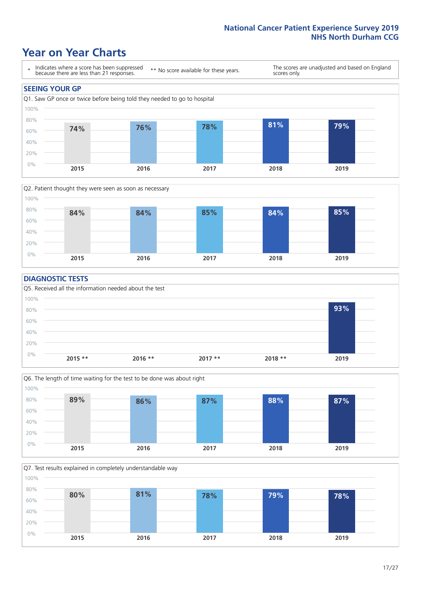### **Year on Year Charts**





#### **DIAGNOSTIC TESTS**





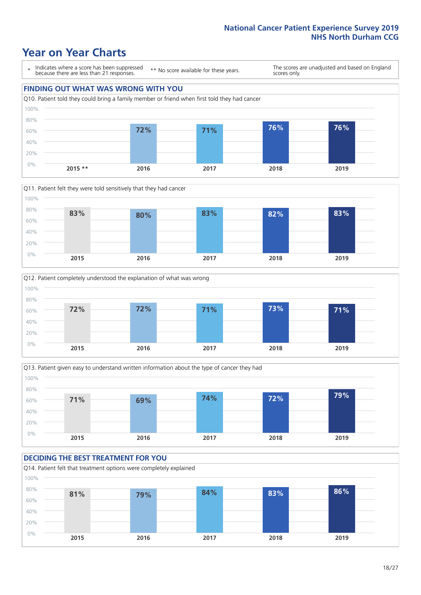### **Year on Year Charts**

\* Indicates where a score has been suppressed because there are less than 21 responses.

\*\* No score available for these years.

The scores are unadjusted and based on England scores only.









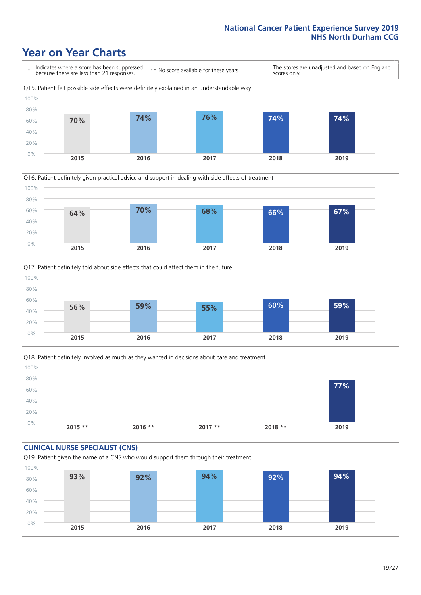### **Year on Year Charts**







Q18. Patient definitely involved as much as they wanted in decisions about care and treatment  $0%$ 20% 40% 60% 80% 100% **2015 \*\* 2016 \*\* 2017 \*\* 2018 \*\* 2019 77%**

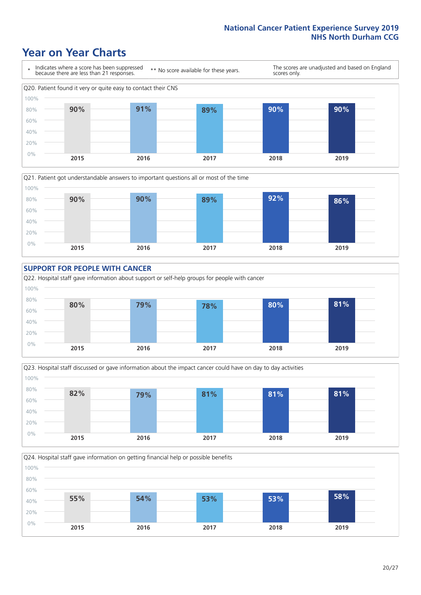### **Year on Year Charts**











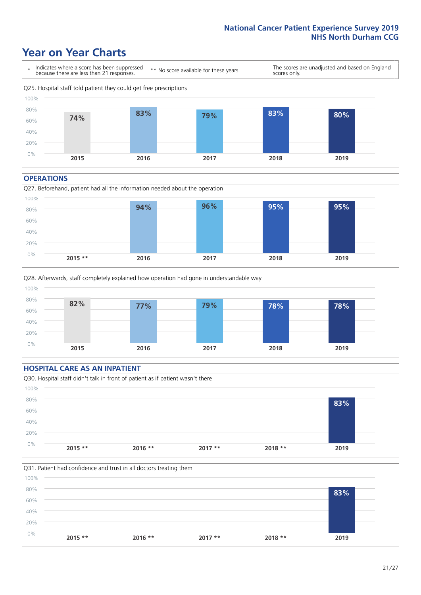### **Year on Year Charts**



#### **OPERATIONS**





### **HOSPITAL CARE AS AN INPATIENT** Q30. Hospital staff didn't talk in front of patient as if patient wasn't there 0% 20% 40% 60% 80% 100% **2015 \*\* 2016 \*\* 2017 \*\* 2018 \*\* 2019 83%**

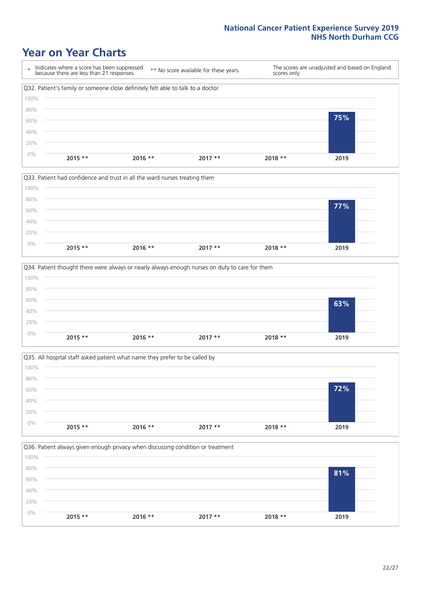### **Year on Year Charts**









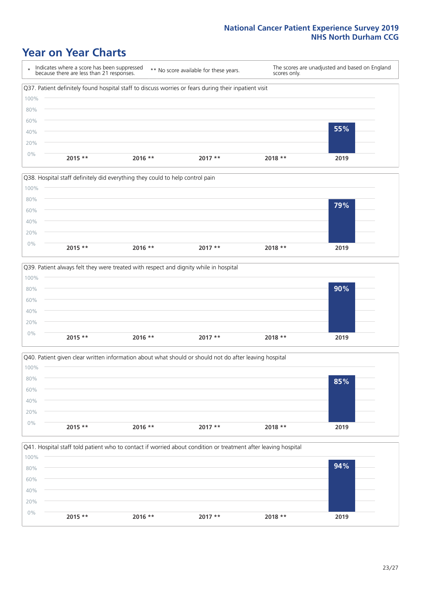### **Year on Year Charts**

\* Indicates where a score has been suppressed because there are less than 21 responses. \*\* No score available for these years. The scores are unadjusted and based on England scores only. Q37. Patient definitely found hospital staff to discuss worries or fears during their inpatient visit 0% 20% 40% 60% 80% 100% **2015 \*\* 2016 \*\* 2017 \*\* 2018 \*\* 2019 55%**







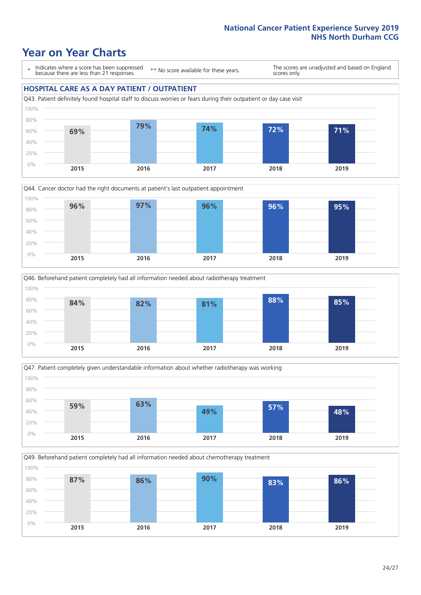### **Year on Year Charts**

\* Indicates where a score has been suppressed because there are less than 21 responses.

\*\* No score available for these years.

The scores are unadjusted and based on England scores only.

### **HOSPITAL CARE AS A DAY PATIENT / OUTPATIENT**









Q49. Beforehand patient completely had all information needed about chemotherapy treatment

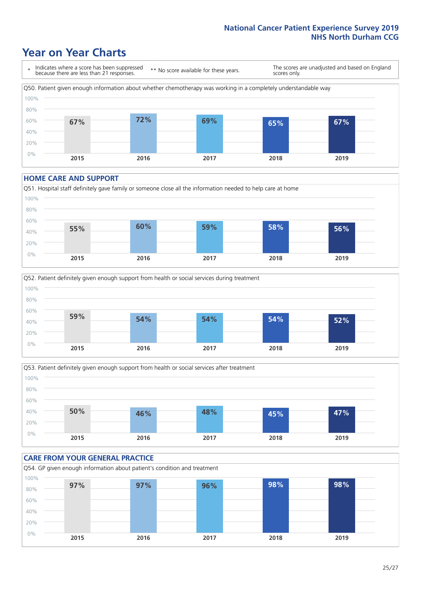### **Year on Year Charts**



#### **HOME CARE AND SUPPORT**







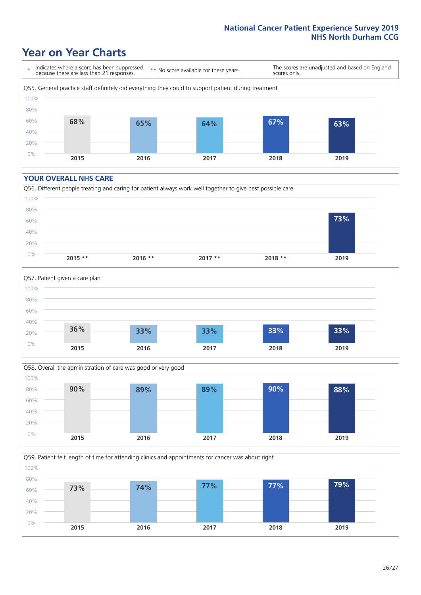### **Year on Year Charts**

\* Indicates where a score has been suppressed because there are less than 21 responses. \*\* No score available for these years. The scores are unadjusted and based on England scores only. Q55. General practice staff definitely did everything they could to support patient during treatment 0% 20% 40% 60% 80% 100% **2015 2016 2017 2018 2019 68% 65% 64% 67% 63%**

#### **YOUR OVERALL NHS CARE**

0% 20%







**2015 2016 2017 2018 2019**

Q59. Patient felt length of time for attending clinics and appointments for cancer was about right 40% 60% 80% 100% **73% 74% 77% 77% 79%**